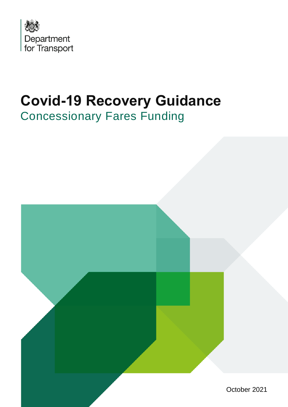

# **Covid-19 Recovery Guidance** Concessionary Fares Funding

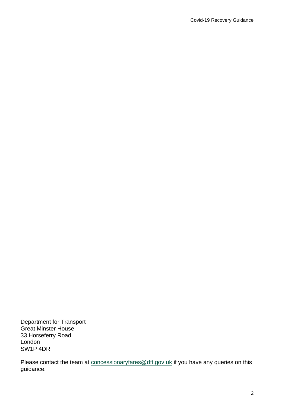Department for Transport Great Minster House 33 Horseferry Road London SW1P 4DR

Please contact the team at [concessionaryfares@dft.gov.uk](mailto:concessionaryfares@dft.gov.uk) if you have any queries on this guidance.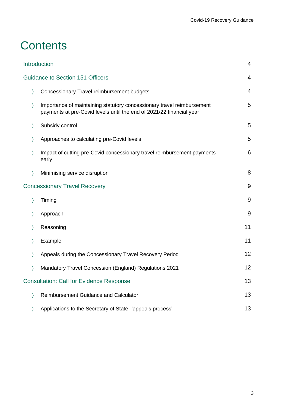## **Contents**

| 4                                                                                                                                                   |
|-----------------------------------------------------------------------------------------------------------------------------------------------------|
| 4                                                                                                                                                   |
| $\overline{4}$                                                                                                                                      |
| 5<br>Importance of maintaining statutory concessionary travel reimbursement<br>payments at pre-Covid levels until the end of 2021/22 financial year |
| 5                                                                                                                                                   |
| 5                                                                                                                                                   |
| 6<br>Impact of cutting pre-Covid concessionary travel reimbursement payments                                                                        |
| 8                                                                                                                                                   |
| 9                                                                                                                                                   |
| 9                                                                                                                                                   |
| 9                                                                                                                                                   |
| 11                                                                                                                                                  |
| 11                                                                                                                                                  |
| 12<br>Appeals during the Concessionary Travel Recovery Period                                                                                       |
| 12<br>Mandatory Travel Concession (England) Regulations 2021                                                                                        |
| 13                                                                                                                                                  |
| 13                                                                                                                                                  |
| 13<br>Applications to the Secretary of State- 'appeals process'                                                                                     |
|                                                                                                                                                     |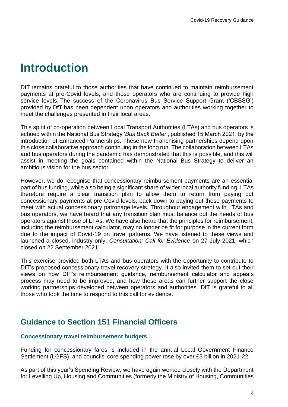## **Introduction**

DfT remains grateful to those authorities that have continued to maintain reimbursement payments at pre-Covid levels, and those operators who are continuing to provide high service levels. The success of the Coronavirus Bus Service Support Grant ('CBSSG') provided by DfT has been dependent upon operators and authorities working together to meet the challenges presented in their local areas.

This spirit of co-operation between Local Transport Authorities (LTAs) and bus operators is echoed within the National Bus Strategy '*Bus Back Better*', published 15 March 2021, by the introduction of Enhanced Partnerships. These new Franchising partnerships depend upon this close collaborative approach continuing in the long run. The collaboration between LTAs and bus operators during the pandemic has demonstrated that this is possible, and this will assist in meeting the goals contained within the National Bus Strategy to deliver an ambitious vision for the bus sector.

However, we do recognise that concessionary reimbursement payments are an essential part of bus funding, while also being a significant share of wider local authority funding. LTAs therefore require a clear transition plan to allow them to return from paying out concessionary payments at pre-Covid levels, back down to paying out these payments to meet with actual concessionary patronage levels. Throughout engagement with LTAs and bus operators, we have heard that any transition plan must balance out the needs of bus operators against those of LTAs. We have also heard that the principles for reimbursement, including the reimbursement calculator, may no longer be fit for purpose in the current form due to the impact of Covid-19 on travel patterns. We have listened to these views and launched a closed, industry only, *Consultation: Call for Evidence* on 27 July 2021, which closed on 22 September 2021.

This exercise provided both LTAs and bus operators with the opportunity to contribute to DfT's proposed concessionary travel recovery strategy. It also invited them to set out their views on how DfT's reimbursement guidance, reimbursement calculator and appeals process may need to be improved, and how these areas can further support the close working partnerships developed between operators and authorities. DfT is grateful to all those who took the time to respond to this call for evidence.

## **Guidance to Section 151 Financial Officers**

#### **Concessionary travel reimbursement budgets**

Funding for concessionary fares is included in the annual Local Government Finance Settlement (LGFS), and councils' core spending power rose by over £3 billion in 2021-22.

As part of this year's Spending Review, we have again worked closely with the Department for Levelling Up, Housing and Communities (formerly the Ministry of Housing, Communities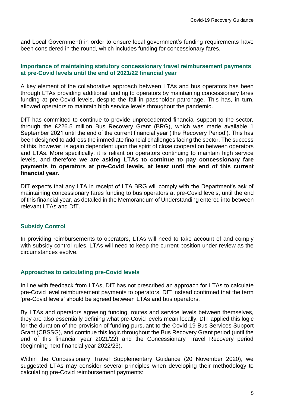and Local Government) in order to ensure local government's funding requirements have been considered in the round, which includes funding for concessionary fares.

#### **Importance of maintaining statutory concessionary travel reimbursement payments at pre-Covid levels until the end of 2021/22 financial year**

A key element of the collaborative approach between LTAs and bus operators has been through LTAs providing additional funding to operators by maintaining concessionary fares funding at pre-Covid levels, despite the fall in passholder patronage. This has, in turn, allowed operators to maintain high service levels throughout the pandemic.

DfT has committed to continue to provide unprecedented financial support to the sector, through the £226.5 million Bus Recovery Grant (BRG), which was made available 1 September 2021 until the end of the current financial year ('the Recovery Period'). This has been designed to address the immediate financial challenges facing the sector. The success of this, however, is again dependent upon the spirit of close cooperation between operators and LTAs. More specifically, it is reliant on operators continuing to maintain high service levels, and therefore **we are asking LTAs to continue to pay concessionary fare payments to operators at pre-Covid levels, at least until the end of this current financial year.** 

DfT expects that any LTA in receipt of LTA BRG will comply with the Department's ask of maintaining concessionary fares funding to bus operators at pre-Covid levels, until the end of this financial year, as detailed in the Memorandum of Understanding entered into between relevant LTAs and DfT.

#### **Subsidy Control**

In providing reimbursements to operators, LTAs will need to take account of and comply with subsidy control rules. LTAs will need to keep the current position under review as the circumstances evolve.

#### **Approaches to calculating pre-Covid levels**

In line with feedback from LTAs, DfT has not prescribed an approach for LTAs to calculate pre-Covid level reimbursement payments to operators. DfT instead confirmed that the term 'pre-Covid levels' should be agreed between LTAs and bus operators.

By LTAs and operators agreeing funding, routes and service levels between themselves, they are also essentially defining what pre-Covid levels mean locally. DfT applied this logic for the duration of the provision of funding pursuant to the Covid-19 Bus Services Support Grant (CBSSG), and continue this logic throughout the Bus Recovery Grant period (until the end of this financial year 2021/22) and the Concessionary Travel Recovery period (beginning next financial year 2022/23).

Within the Concessionary Travel Supplementary Guidance (20 November 2020), we suggested LTAs may consider several principles when developing their methodology to calculating pre-Covid reimbursement payments: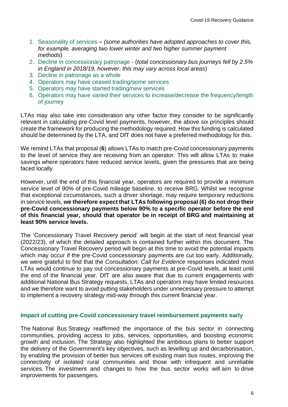- 1. Seasonality of services *(some authorities have adopted approaches to cover this, for example, averaging two lower winter and two higher summer payment methods*)
- 2. Decline in concessionary patronage (*total concessionary bus journeys fell by 2.5% in England in 2018/19, however, this may vary across local areas*)
- 3. Decline in patronage as a whole
- 4. Operators may have ceased trading/some services
- 5. Operators may have started trading/new services
- 6. Operators may have varied their services to increase/decrease the frequency/length of journey

LTAs may also take into consideration any other factor they consider to be significantly relevant in calculating pre-Covid level payments, however, the above six principles should create the framework for producing the methodology required. How this funding is calculated should be determined by the LTA, and DfT does not have a preferred methodology for this.

We remind LTAs that proposal (**6**) allows LTAs to match pre-Covid concessionary payments to the level of service they are receiving from an operator. This will allow LTAs to make savings where operators have reduced service levels, given the pressures that are being faced locally.

However, until the end of this financial year, operators are required to provide a minimum service level of 90% of pre-Covid mileage baseline, to receive BRG. Whilst we recognise that exceptional circumstances, such a driver shortage, may require temporary reductions in service levels, **we therefore expect that LTAs following proposal (6) do not drop their pre-Covid concessionary payments below 90% to a specific operator before the end of this financial year, should that operator be in receipt of BRG and maintaining at least 90% service levels.**

The 'Concessionary Travel Recovery period' will begin at the start of next financial year (2022/23), of which the detailed approach is contained further within this document. The Concessionary Travel Recovery period will begin at this time to avoid the potential impacts which may occur if the pre-Covid concessionary payments are cut too early. Additionally, we were grateful to find that the *Consultation: Call for Evidence* responses indicated most LTAs would continue to pay out concessionary payments at pre-Covid levels, at least until the end of the financial year. DfT are also aware that due to current engagements with additional National Bus Strategy requests, LTAs and operators may have limited resources and we therefore want to avoid putting stakeholders under unnecessary pressure to attempt to implement a recovery strategy mid-way through this current financial year.

#### **Impact of cutting pre-Covid concessionary travel reimbursement payments early**

The National Bus Strategy reaffirmed the importance of the bus sector in connecting communities, providing access to jobs, services, opportunities, and boosting economic growth and inclusion. The Strategy also highlighted the ambitious plans to better support the delivery of the Government's key objectives, such as levelling up and decarbonisation, by enabling the provision of better bus services off existing main bus routes, improving the connectivity of isolated rural communities and those with infrequent and unreliable services. The investment and changes to how the bus sector works will aim to drive improvements for passengers.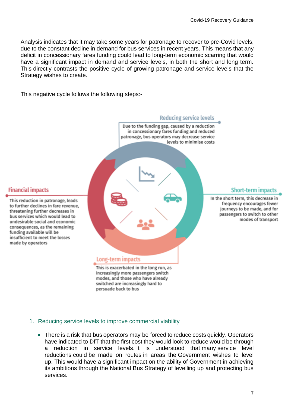Analysis indicates that it may take some years for patronage to recover to pre-Covid levels, due to the constant decline in demand for bus services in recent years. This means that any deficit in concessionary fares funding could lead to long-term economic scarring that would have a significant impact in demand and service levels, in both the short and long term. This directly contrasts the positive cycle of growing patronage and service levels that the Strategy wishes to create.

This negative cycle follows the following steps:-



#### **Financial impacts**

This reduction in patronage, leads to further declines in fare revenue. threatening further decreases in bus services which would lead to undesirable social and economic consequences, as the remaining funding available will be insufficient to meet the losses made by operators

#### Long-term impacts

This is exacerbated in the long run, as increasingly more passengers switch modes, and those who have already switched are increasingly hard to persuade back to bus

#### **Short-term impacts**

In the short term, this decrease in frequency encourages fewer journeys to be made, and for passengers to switch to other modes of transport

#### 1. Reducing service levels to improve commercial viability

• There is a risk that bus operators may be forced to reduce costs quickly. Operators have indicated to DfT that the first cost they would look to reduce would be through a reduction in service levels. It is understood that many service level reductions could be made on routes in areas the Government wishes to level up. This would have a significant impact on the ability of Government in achieving its ambitions through the National Bus Strategy of levelling up and protecting bus services.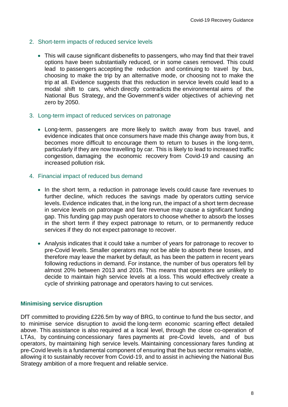#### 2. Short-term impacts of reduced service levels

- This will cause significant disbenefits to passengers, who may find that their travel options have been substantially reduced, or in some cases removed. This could lead to passengers accepting the reduction and continuing to travel by bus, choosing to make the trip by an alternative mode, or choosing not to make the trip at all. Evidence suggests that this reduction in service levels could lead to a modal shift to cars, which directly contradicts the environmental aims of the National Bus Strategy, and the Government's wider objectives of achieving net zero by 2050.
- 3. Long-term impact of reduced services on patronage
	- Long-term, passengers are more likely to switch away from bus travel, and evidence indicates that once consumers have made this change away from bus, it becomes more difficult to encourage them to return to buses in the long-term, particularly if they are now travelling by car. This is likely to lead to increased traffic congestion, damaging the economic recovery from Covid-19 and causing an increased pollution risk.
- 4. Financial impact of reduced bus demand
	- In the short term, a reduction in patronage levels could cause fare revenues to further decline, which reduces the savings made by operators cutting service levels. Evidence indicates that, in the long run, the impact of a short term decrease in service levels on patronage and fare revenue may cause a significant funding gap. This funding gap may push operators to choose whether to absorb the losses in the short term if they expect patronage to return, or to permanently reduce services if they do not expect patronage to recover.
	- Analysis indicates that it could take a number of years for patronage to recover to pre-Covid levels. Smaller operators may not be able to absorb these losses, and therefore may leave the market by default, as has been the pattern in recent years following reductions in demand. For instance, the number of bus operators fell by almost 20% between 2013 and 2016. This means that operators are unlikely to decide to maintain high service levels at a loss. This would effectively create a cycle of shrinking patronage and operators having to cut services.

#### **Minimising service disruption**

DfT committed to providing £226.5m by way of BRG, to continue to fund the bus sector, and to minimise service disruption to avoid the long-term economic scarring effect detailed above. This assistance is also required at a local level, through the close co-operation of LTAs, by continuing concessionary fares payments at pre-Covid levels, and of bus operators, by maintaining high service levels. Maintaining concessionary fares funding at pre-Covid levels is a fundamental component of ensuring that the bus sector remains viable, allowing it to sustainably recover from Covid-19, and to assist in achieving the National Bus Strategy ambition of a more frequent and reliable service.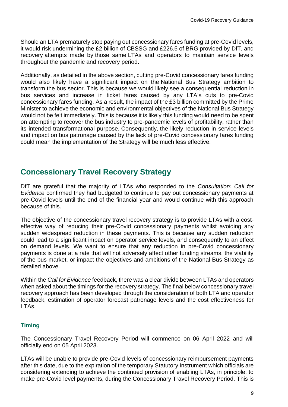Should an LTA prematurely stop paying out concessionary fares funding at pre-Covid levels, it would risk undermining the £2 billion of CBSSG and £226.5 of BRG provided by DfT, and recovery attempts made by those same LTAs and operators to maintain service levels throughout the pandemic and recovery period.

Additionally, as detailed in the above section, cutting pre-Covid concessionary fares funding would also likely have a significant impact on the National Bus Strategy ambition to transform the bus sector. This is because we would likely see a consequential reduction in bus services and increase in ticket fares caused by any LTA's cuts to pre-Covid concessionary fares funding. As a result, the impact of the £3 billion committed by the Prime Minister to achieve the economic and environmental objectives of the National Bus Strategy would not be felt immediately. This is because it is likely this funding would need to be spent on attempting to recover the bus industry to pre-pandemic levels of profitability, rather than its intended transformational purpose. Consequently, the likely reduction in service levels and impact on bus patronage caused by the lack of pre-Covid concessionary fares funding could mean the implementation of the Strategy will be much less effective.

### **Concessionary Travel Recovery Strategy**

DfT are grateful that the majority of LTAs who responded to the *Consultation: Call for Evidence* confirmed they had budgeted to continue to pay out concessionary payments at pre-Covid levels until the end of the financial year and would continue with this approach because of this.

The objective of the concessionary travel recovery strategy is to provide LTAs with a costeffective way of reducing their pre-Covid concessionary payments whilst avoiding any sudden widespread reduction in these payments. This is because any sudden reduction could lead to a significant impact on operator service levels, and consequently to an effect on demand levels. We want to ensure that any reduction in pre-Covid concessionary payments is done at a rate that will not adversely affect other funding streams, the viability of the bus market, or impact the objectives and ambitions of the National Bus Strategy as detailed above.

Within the *Call for Evidence* feedback, there was a clear divide between LTAs and operators when asked about the timings for the recovery strategy. The final below concessionary travel recovery approach has been developed through the consideration of both LTA and operator feedback, estimation of operator forecast patronage levels and the cost effectiveness for I TAS.

#### **Timing**

The Concessionary Travel Recovery Period will commence on 06 April 2022 and will officially end on 05 April 2023.

LTAs will be unable to provide pre-Covid levels of concessionary reimbursement payments after this date, due to the expiration of the temporary Statutory Instrument which officials are considering extending to achieve the continued provision of enabling LTAs, in principle, to make pre-Covid level payments, during the Concessionary Travel Recovery Period. This is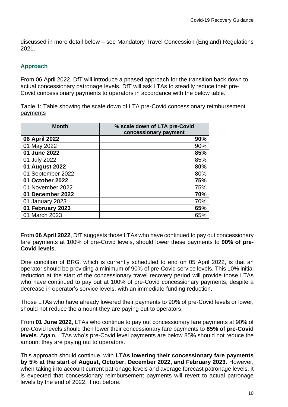discussed in more detail below – see Mandatory Travel Concession (England) Regulations 2021.

#### **Approach**

From 06 April 2022, DfT will introduce a phased approach for the transition back down to actual concessionary patronage levels. DfT will ask LTAs to steadily reduce their pre-Covid concessionary payments to operators in accordance with the below table.

Table 1: Table showing the scale down of LTA pre-Covid concessionary reimbursement payments

| <b>Month</b>      | % scale down of LTA pre-Covid |
|-------------------|-------------------------------|
|                   | concessionary payment         |
| 06 April 2022     | 90%                           |
| 01 May 2022       | 90%                           |
| 01 June 2022      | 85%                           |
| 01 July 2022      | 85%                           |
| 01 August 2022    | 80%                           |
| 01 September 2022 | 80%                           |
| 01 October 2022   | 75%                           |
| 01 November 2022  | 75%                           |
| 01 December 2022  | 70%                           |
| 01 January 2023   | 70%                           |
| 01 February 2023  | 65%                           |
| 01 March 2023     | 65%                           |

From **06 April 2022**, DfT suggests those LTAs who have continued to pay out concessionary fare payments at 100% of pre-Covid levels, should lower these payments to **90% of pre-Covid levels**.

One condition of BRG, which is currently scheduled to end on 05 April 2022, is that an operator should be providing a minimum of 90% of pre-Covid service levels. This 10% initial reduction at the start of the concessionary travel recovery period will provide those LTAs who have continued to pay out at 100% of pre-Covid concessionary payments, despite a decrease in operator's service levels, with an immediate funding reduction.

Those LTAs who have already lowered their payments to 90% of pre-Covid levels or lower, should not reduce the amount they are paying out to operators.

From **01 June 2022**, LTAs who continue to pay out concessionary fare payments at 90% of pre-Covid levels should then lower their concessionary fare payments to **85% of pre-Covid levels**. Again, LTAs who's pre-Covid level payments are below 85% should not reduce the amount they are paying out to operators.

This approach should continue, with **LTAs lowering their concessionary fare payments by 5% at the start of August, October, December 2022, and February 2023.** However, when taking into account current patronage levels and average forecast patronage levels, it is expected that concessionary reimbursement payments will revert to actual patronage levels by the end of 2022, if not before.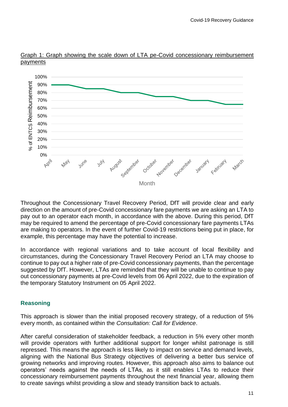

Graph 1: Graph showing the scale down of LTA pe-Covid concessionary reimbursement payments

Throughout the Concessionary Travel Recovery Period, DfT will provide clear and early direction on the amount of pre-Covid concessionary fare payments we are asking an LTA to pay out to an operator each month, in accordance with the above. During this period, DfT may be required to amend the percentage of pre-Covid concessionary fare payments LTAs are making to operators. In the event of further Covid-19 restrictions being put in place, for example, this percentage may have the potential to increase.

In accordance with regional variations and to take account of local flexibility and circumstances, during the Concessionary Travel Recovery Period an LTA may choose to continue to pay out a higher rate of pre-Covid concessionary payments, than the percentage suggested by DfT. However, LTAs are reminded that they will be unable to continue to pay out concessionary payments at pre-Covid levels from 06 April 2022, due to the expiration of the temporary Statutory Instrument on 05 April 2022.

#### **Reasoning**

This approach is slower than the initial proposed recovery strategy, of a reduction of 5% every month, as contained within the *Consultation: Call for Evidence*.

After careful consideration of stakeholder feedback, a reduction in 5% every other month will provide operators with further additional support for longer whilst patronage is still repressed. This means the approach is less likely to impact on service and demand levels, aligning with the National Bus Strategy objectives of delivering a better bus service of growing networks and improving routes. However, this approach also aims to balance out operators' needs against the needs of LTAs, as it still enables LTAs to reduce their concessionary reimbursement payments throughout the next financial year, allowing them to create savings whilst providing a slow and steady transition back to actuals.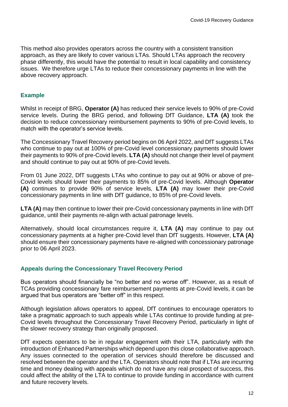This method also provides operators across the country with a consistent transition approach, as they are likely to cover various LTAs. Should LTAs approach the recovery phase differently, this would have the potential to result in local capability and consistency issues. We therefore urge LTAs to reduce their concessionary payments in line with the above recovery approach.

#### **Example**

Whilst in receipt of BRG, **Operator (A)** has reduced their service levels to 90% of pre-Covid service levels. During the BRG period, and following DfT Guidance, **LTA (A)** took the decision to reduce concessionary reimbursement payments to 90% of pre-Covid levels, to match with the operator's service levels.

The Concessionary Travel Recovery period begins on 06 April 2022, and DfT suggests LTAs who continue to pay out at 100% of pre-Covid level concessionary payments should lower their payments to 90% of pre-Covid levels. **LTA (A)** should not change their level of payment and should continue to pay out at 90% of pre-Covid levels.

From 01 June 2022, DfT suggests LTAs who continue to pay out at 90% or above of pre-Covid levels should lower their payments to 85% of pre-Covid levels. Although **Operator (A)** continues to provide 90% of service levels, **LTA (A)** may lower their pre-Covid concessionary payments in line with DfT guidance, to 85% of pre-Covid levels.

**LTA (A)** may then continue to lower their pre-Covid concessionary payments in line with DfT guidance, until their payments re-align with actual patronage levels.

Alternatively, should local circumstances require it, **LTA (A)** may continue to pay out concessionary payments at a higher pre-Covid level than DfT suggests. However, **LTA (A)** should ensure their concessionary payments have re-aligned with concessionary patronage prior to 06 April 2023.

#### **Appeals during the Concessionary Travel Recovery Period**

Bus operators should financially be "no better and no worse off". However, as a result of TCAs providing concessionary fare reimbursement payments at pre-Covid levels, it can be argued that bus operators are "better off" in this respect.

Although legislation allows operators to appeal, DfT continues to encourage operators to take a pragmatic approach to such appeals while LTAs continue to provide funding at pre-Covid levels throughout the Concessionary Travel Recovery Period, particularly in light of the slower recovery strategy than originally proposed.

DfT expects operators to be in regular engagement with their LTA, particularly with the introduction of Enhanced Partnerships which depend upon this close collaborative approach. Any issues connected to the operation of services should therefore be discussed and resolved between the operator and the LTA. Operators should note that if LTAs are incurring time and money dealing with appeals which do not have any real prospect of success, this could affect the ability of the LTA to continue to provide funding in accordance with current and future recovery levels.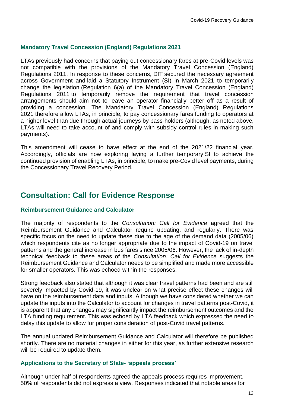#### **Mandatory Travel Concession (England) Regulations 2021**

LTAs previously had concerns that paying out concessionary fares at pre-Covid levels was not compatible with the provisions of the Mandatory Travel Concession (England) Regulations 2011. In response to these concerns, DfT secured the necessary agreement across Government and laid a Statutory Instrument (SI) in March 2021 to temporarily change the legislation (Regulation 6(a) of the Mandatory Travel Concession (England) Regulations 2011 to temporarily remove the requirement that travel concession arrangements should aim not to leave an operator financially better off as a result of providing a concession. The Mandatory Travel Concession (England) Regulations 2021 therefore allow LTAs, in principle, to pay concessionary fares funding to operators at a higher level than due through actual journeys by pass-holders (although, as noted above, LTAs will need to take account of and comply with subsidy control rules in making such payments).

This amendment will cease to have effect at the end of the 2021/22 financial year. Accordingly, officials are now exploring laying a further temporary SI to achieve the continued provision of enabling LTAs, in principle, to make pre-Covid level payments, during the Concessionary Travel Recovery Period.

### **Consultation: Call for Evidence Response**

#### **Reimbursement Guidance and Calculator**

The majority of respondents to the *Consultation: Call for Evidence* agreed that the Reimbursement Guidance and Calculator require updating, and regularly. There was specific focus on the need to update these due to the age of the demand data (2005/06) which respondents cite as no longer appropriate due to the impact of Covid-19 on travel patterns and the general increase in bus fares since 2005/06. However, the lack of in-depth technical feedback to these areas of the *Consultation: Call for Evidence* suggests the Reimbursement Guidance and Calculator needs to be simplified and made more accessible for smaller operators. This was echoed within the responses.

Strong feedback also stated that although it was clear travel patterns had been and are still severely impacted by Covid-19, it was unclear on what precise effect these changes will have on the reimbursement data and inputs. Although we have considered whether we can update the inputs into the Calculator to account for changes in travel patterns post-Covid, it is apparent that any changes may significantly impact the reimbursement outcomes and the LTA funding requirement. This was echoed by LTA feedback which expressed the need to delay this update to allow for proper consideration of post-Covid travel patterns.

The annual updated Reimbursement Guidance and Calculator will therefore be published shortly. There are no material changes in either for this year, as further extensive research will be required to update them.

#### **Applications to the Secretary of State- 'appeals process'**

Although under half of respondents agreed the appeals process requires improvement, 50% of respondents did not express a view. Responses indicated that notable areas for